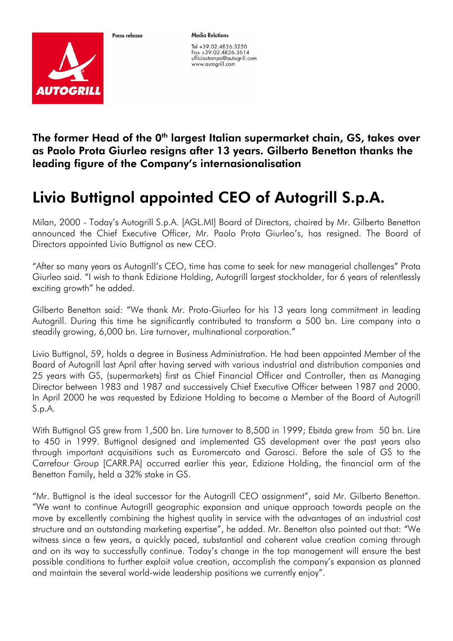

Proce release

**Media Relations** 

Tel +39.02.4826.3250 Fax +39.02.4826.3614 ufficiostampa@autogrill.com www.autogrill.com

The former Head of the 0<sup>th</sup> largest Italian supermarket chain, GS, takes over as Paolo Prota Giurleo resigns after 13 years. Gilberto Benetton thanks the leading figure of the Company's internasionalisation

## Livio Buttignol appointed CEO of Autogrill S.p.A.

Milan, 2000 - Today's Autogrill S.p.A. [AGL.MI] Board of Directors, chaired by Mr. Gilberto Benetton announced the Chief Executive Officer, Mr. Paolo Prota Giurleo's, has resigned. The Board of Directors appointed Livio Buttignol as new CEO.

"After so many years as Autogrill's CEO, time has come to seek for new managerial challenges" Prota Giurleo said. "I wish to thank Edizione Holding, Autogrill largest stockholder, for 6 years of relentlessly exciting growth" he added.

Gilberto Benetton said: "We thank Mr. Prota-Giurleo for his 13 years long commitment in leading Autogrill. During this time he significantly contributed to transform a 500 bn. Lire company into a steadily growing, 6,000 bn. Lire turnover, multinational corporation."

Livio Buttignol, 59, holds a degree in Business Administration. He had been appointed Member of the Board of Autogrill last April after having served with various industrial and distribution companies and 25 years with GS, (supermarkets) first as Chief Financial Officer and Controller, then as Managing Director between 1983 and 1987 and successively Chief Executive Officer between 1987 and 2000. In April 2000 he was requested by Edizione Holding to become a Member of the Board of Autogrill S.p.A.

With Buttignol GS grew from 1,500 bn. Lire turnover to 8,500 in 1999; Ebitda grew from 50 bn. Lire to 450 in 1999. Buttignol designed and implemented GS development over the past years also through important acquisitions such as Euromercato and Garosci. Before the sale of GS to the Carrefour Group [CARR.PA] occurred earlier this year, Edizione Holding, the financial arm of the Benetton Family, held a 32% stake in GS.

"Mr. Buttignol is the ideal successor for the Autogrill CEO assignment", said Mr. Gilberto Benetton. "We want to continue Autogrill geographic expansion and unique approach towards people on the move by excellently combining the highest quality in service with the advantages of an industrial cost structure and an outstanding marketing expertise", he added. Mr. Benetton also pointed out that: "We witness since a few years, a quickly paced, substantial and coherent value creation coming through and on its way to successfully continue. Today's change in the top management will ensure the best possible conditions to further exploit value creation, accomplish the company's expansion as planned and maintain the several world-wide leadership positions we currently enjoy".